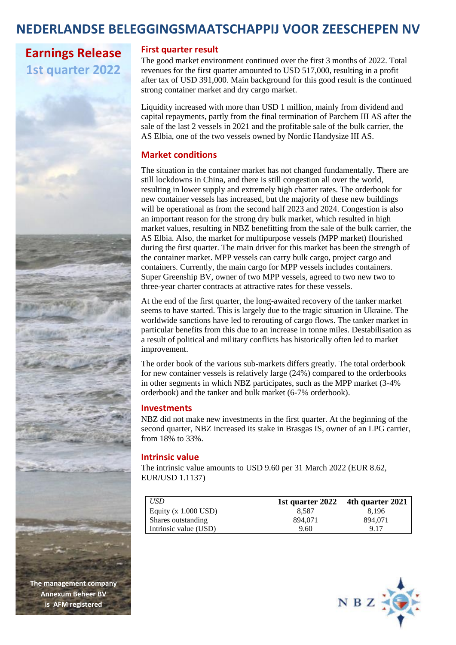### **NEDERLANDSE BELEGGINGSMAATSCHAPPIJ VOOR ZEESCHEPEN NV**

## **Earnings Release 1st quarter 2022**



**The management company Annexum Beheer BV is AFM registered** 

### **First quarter result**

The good market environment continued over the first 3 months of 2022. Total revenues for the first quarter amounted to USD 517,000, resulting in a profit after tax of USD 391,000. Main background for this good result is the continued strong container market and dry cargo market.

Liquidity increased with more than USD 1 million, mainly from dividend and capital repayments, partly from the final termination of Parchem III AS after the sale of the last 2 vessels in 2021 and the profitable sale of the bulk carrier, the AS Elbia, one of the two vessels owned by Nordic Handysize III AS.

### **Market conditions**

The situation in the container market has not changed fundamentally. There are still lockdowns in China, and there is still congestion all over the world, resulting in lower supply and extremely high charter rates. The orderbook for new container vessels has increased, but the majority of these new buildings will be operational as from the second half 2023 and 2024. Congestion is also an important reason for the strong dry bulk market, which resulted in high market values, resulting in NBZ benefitting from the sale of the bulk carrier, the AS Elbia. Also, the market for multipurpose vessels (MPP market) flourished during the first quarter. The main driver for this market has been the strength of the container market. MPP vessels can carry bulk cargo, project cargo and containers. Currently, the main cargo for MPP vessels includes containers. Super Greenship BV, owner of two MPP vessels, agreed to two new two to three-year charter contracts at attractive rates for these vessels.

At the end of the first quarter, the long-awaited recovery of the tanker market seems to have started. This is largely due to the tragic situation in Ukraine. The worldwide sanctions have led to rerouting of cargo flows. The tanker market in particular benefits from this due to an increase in tonne miles. Destabilisation as a result of political and military conflicts has historically often led to market improvement.

The order book of the various sub-markets differs greatly. The total orderbook for new container vessels is relatively large (24%) compared to the orderbooks in other segments in which NBZ participates, such as the MPP market (3-4% orderbook) and the tanker and bulk market (6-7% orderbook).

### **Investments**

NBZ did not make new investments in the first quarter. At the beginning of the second quarter, NBZ increased its stake in Brasgas IS, owner of an LPG carrier, from 18% to 33%.

### **Intrinsic value**

The intrinsic value amounts to USD 9.60 per 31 March 2022 (EUR 8.62, EUR/USD 1.1137)

| USD                    |         | 1st quarter $2022$ 4th quarter $2021$ |
|------------------------|---------|---------------------------------------|
| Equity $(x 1.000$ USD) | 8.587   | 8.196                                 |
| Shares outstanding     | 894,071 | 894,071                               |
| Intrinsic value (USD)  | 9.60    | 9.17                                  |

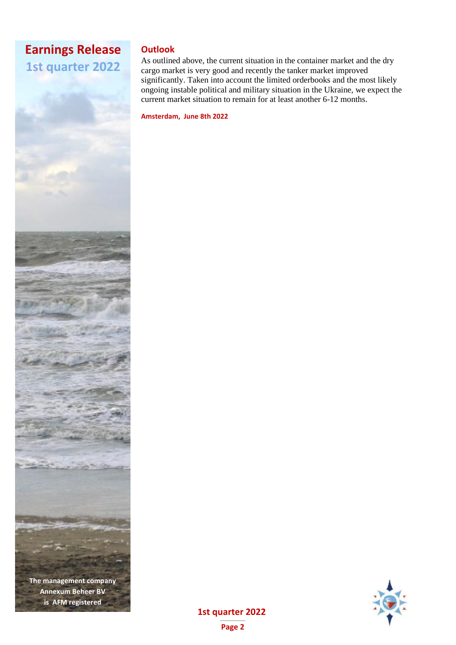## **Earnings Release 1st quarter 2022**

**The management company Annexum Beheer BV is AFM registered** 

### **Outlook**

As outlined above, the current situation in the container market and the dry cargo market is very good and recently the tanker market improved significantly. Taken into account the limited orderbooks and the most likely ongoing instable political and military situation in the Ukraine, we expect the current market situation to remain for at least another 6-12 months.

**Amsterdam, June 8th 2022**



# **1st quarter 2022**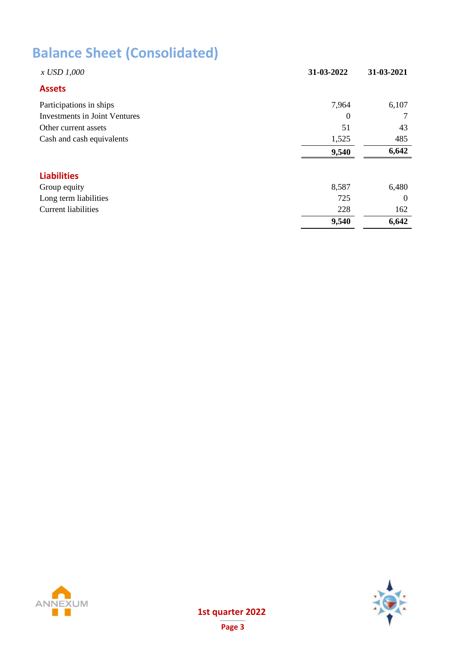# **Balance Sheet (Consolidated)**

| x USD 1,000                          | 31-03-2022       | 31-03-2021 |
|--------------------------------------|------------------|------------|
| <b>Assets</b>                        |                  |            |
| Participations in ships              | 7,964            | 6,107      |
| <b>Investments in Joint Ventures</b> | $\boldsymbol{0}$ | 7          |
| Other current assets                 | 51               | 43         |
| Cash and cash equivalents            | 1,525            | 485        |
|                                      | 9,540            | 6,642      |
| <b>Liabilities</b>                   |                  |            |
| Group equity                         | 8,587            | 6,480      |
| Long term liabilities                | 725              | $\theta$   |
| <b>Current liabilities</b>           | 228              | 162        |
|                                      | 9,540            | 6,642      |



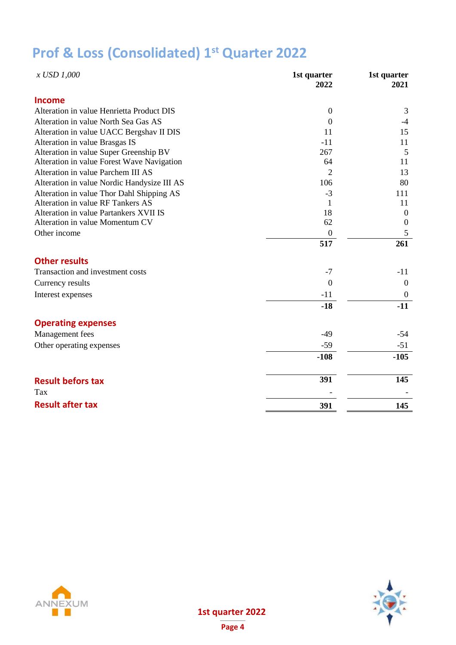# **Prof & Loss (Consolidated) 1 st Quarter 2022**

| x USD 1,000                                 | 1st quarter<br>2022 | 1st quarter<br>2021 |
|---------------------------------------------|---------------------|---------------------|
| <b>Income</b>                               |                     |                     |
| Alteration in value Henrietta Product DIS   | $\boldsymbol{0}$    | 3                   |
| Alteration in value North Sea Gas AS        | $\overline{0}$      | $-4$                |
| Alteration in value UACC Bergshav II DIS    | 11                  | 15                  |
| Alteration in value Brasgas IS              | $-11$               | 11                  |
| Alteration in value Super Greenship BV      | 267                 | 5                   |
| Alteration in value Forest Wave Navigation  | 64                  | 11                  |
| Alteration in value Parchem III AS          | 2                   | 13                  |
| Alteration in value Nordic Handysize III AS | 106                 | 80                  |
| Alteration in value Thor Dahl Shipping AS   | $-3$                | 111                 |
| Alteration in value RF Tankers AS           | 1                   | 11                  |
| Alteration in value Partankers XVII IS      | 18                  | $\boldsymbol{0}$    |
| Alteration in value Momentum CV             | 62                  | $\overline{0}$      |
| Other income                                | $\overline{0}$      | 5                   |
|                                             | 517                 | 261                 |
| <b>Other results</b>                        |                     |                     |
| Transaction and investment costs            | $-7$                | $-11$               |
| Currency results                            | $\mathbf{0}$        | $\boldsymbol{0}$    |
| Interest expenses                           | $-11$               | $\boldsymbol{0}$    |
|                                             | $-18$               | $-11$               |
| <b>Operating expenses</b>                   |                     |                     |
| Management fees                             | $-49$               | $-54$               |
| Other operating expenses                    | $-59$               | $-51$               |
|                                             | $-108$              | $-105$              |
|                                             |                     |                     |
| <b>Result befors tax</b>                    | 391                 | 145                 |
| Tax                                         |                     |                     |
| <b>Result after tax</b>                     | 391                 | 145                 |